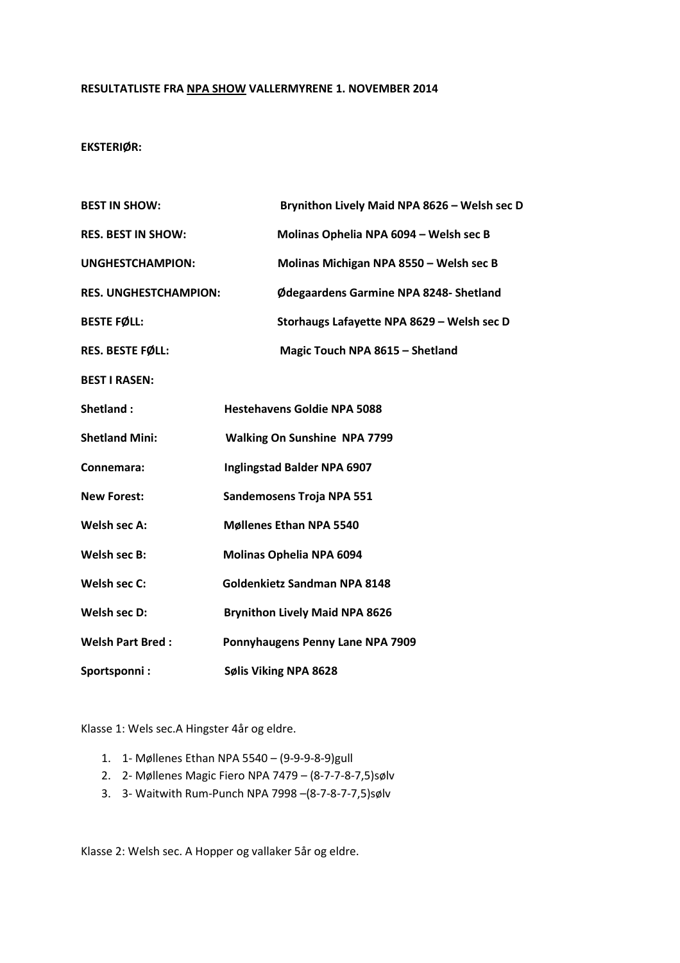### RESULTATLISTE FRA NPA SHOW VALLERMYRENE 1. NOVEMBER 2014

# EKSTERIØR:

| <b>BEST IN SHOW:</b>         | Brynithon Lively Maid NPA 8626 - Welsh sec D |
|------------------------------|----------------------------------------------|
| <b>RES. BEST IN SHOW:</b>    | Molinas Ophelia NPA 6094 - Welsh sec B       |
| <b>UNGHESTCHAMPION:</b>      | Molinas Michigan NPA 8550 - Welsh sec B      |
| <b>RES. UNGHESTCHAMPION:</b> | Ødegaardens Garmine NPA 8248- Shetland       |
| <b>BESTE FØLL:</b>           | Storhaugs Lafayette NPA 8629 - Welsh sec D   |
| RES. BESTE FØLL:             | Magic Touch NPA 8615 - Shetland              |
| <b>BEST I RASEN:</b>         |                                              |
| Shetland:                    | <b>Hestehavens Goldie NPA 5088</b>           |
| <b>Shetland Mini:</b>        | <b>Walking On Sunshine NPA 7799</b>          |
| Connemara:                   | Inglingstad Balder NPA 6907                  |
| <b>New Forest:</b>           | Sandemosens Troja NPA 551                    |
| Welsh sec A:                 | <b>Møllenes Ethan NPA 5540</b>               |
| Welsh sec B:                 | <b>Molinas Ophelia NPA 6094</b>              |
| Welsh sec C:                 | <b>Goldenkietz Sandman NPA 8148</b>          |
| Welsh sec D:                 | <b>Brynithon Lively Maid NPA 8626</b>        |
| <b>Welsh Part Bred:</b>      | Ponnyhaugens Penny Lane NPA 7909             |
| Sportsponni:                 | Sølis Viking NPA 8628                        |

Klasse 1: Wels sec.A Hingster 4år og eldre.

- 1. 1- Møllenes Ethan NPA 5540 (9-9-9-8-9)gull
- 2. 2- Møllenes Magic Fiero NPA 7479 (8-7-7-8-7,5)sølv
- 3. 3- Waitwith Rum-Punch NPA 7998 –(8-7-8-7-7,5)sølv

Klasse 2: Welsh sec. A Hopper og vallaker 5år og eldre.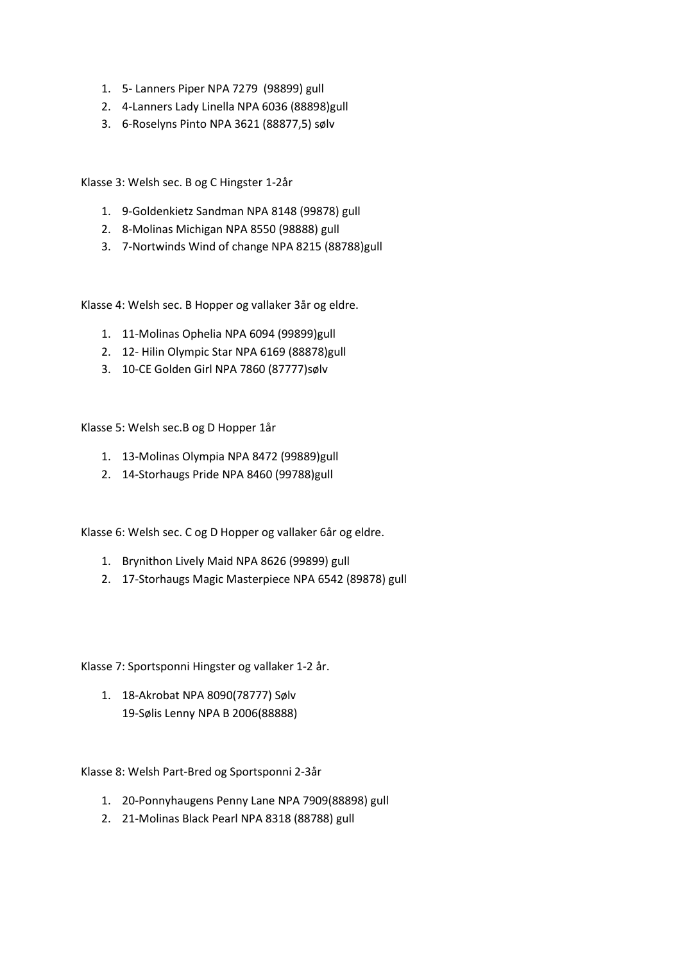- 1. 5- Lanners Piper NPA 7279 (98899) gull
- 2. 4-Lanners Lady Linella NPA 6036 (88898)gull
- 3. 6-Roselyns Pinto NPA 3621 (88877,5) sølv

Klasse 3: Welsh sec. B og C Hingster 1-2år

- 1. 9-Goldenkietz Sandman NPA 8148 (99878) gull
- 2. 8-Molinas Michigan NPA 8550 (98888) gull
- 3. 7-Nortwinds Wind of change NPA 8215 (88788)gull

Klasse 4: Welsh sec. B Hopper og vallaker 3år og eldre.

- 1. 11-Molinas Ophelia NPA 6094 (99899)gull
- 2. 12- Hilin Olympic Star NPA 6169 (88878)gull
- 3. 10-CE Golden Girl NPA 7860 (87777)sølv

Klasse 5: Welsh sec.B og D Hopper 1år

- 1. 13-Molinas Olympia NPA 8472 (99889)gull
- 2. 14-Storhaugs Pride NPA 8460 (99788)gull

Klasse 6: Welsh sec. C og D Hopper og vallaker 6år og eldre.

- 1. Brynithon Lively Maid NPA 8626 (99899) gull
- 2. 17-Storhaugs Magic Masterpiece NPA 6542 (89878) gull

Klasse 7: Sportsponni Hingster og vallaker 1-2 år.

1. 18-Akrobat NPA 8090(78777) Sølv 19-Sølis Lenny NPA B 2006(88888)

Klasse 8: Welsh Part-Bred og Sportsponni 2-3år

- 1. 20-Ponnyhaugens Penny Lane NPA 7909(88898) gull
- 2. 21-Molinas Black Pearl NPA 8318 (88788) gull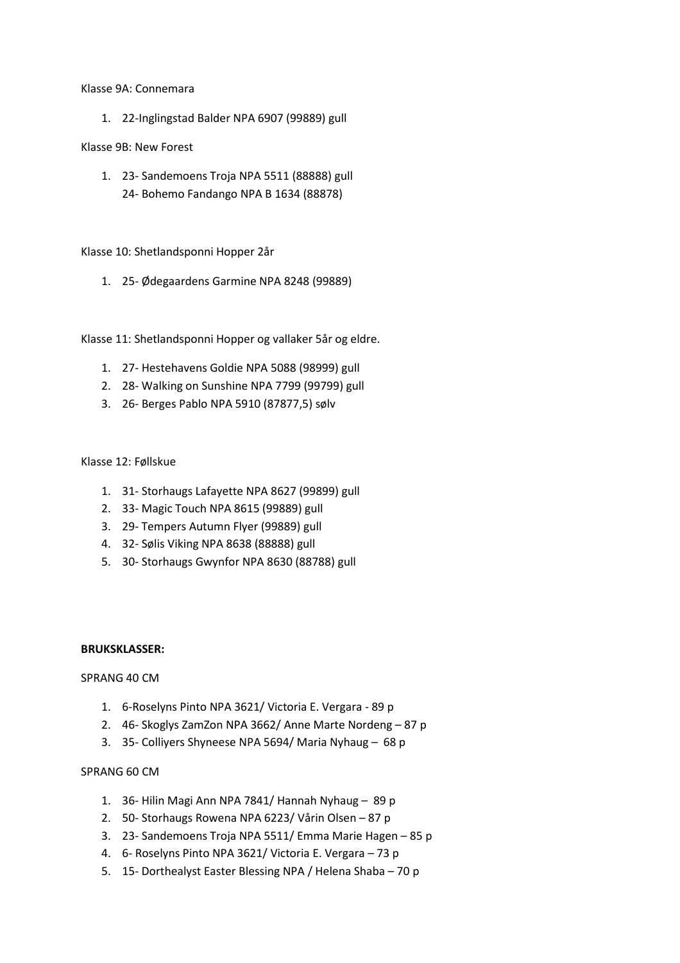#### Klasse 9A: Connemara

1. 22-Inglingstad Balder NPA 6907 (99889) gull

# Klasse 9B: New Forest

1. 23- Sandemoens Troja NPA 5511 (88888) gull 24- Bohemo Fandango NPA B 1634 (88878)

# Klasse 10: Shetlandsponni Hopper 2år

1. 25- Ødegaardens Garmine NPA 8248 (99889)

Klasse 11: Shetlandsponni Hopper og vallaker 5år og eldre.

- 1. 27- Hestehavens Goldie NPA 5088 (98999) gull
- 2. 28- Walking on Sunshine NPA 7799 (99799) gull
- 3. 26- Berges Pablo NPA 5910 (87877,5) sølv

### Klasse 12: Føllskue

- 1. 31- Storhaugs Lafayette NPA 8627 (99899) gull
- 2. 33- Magic Touch NPA 8615 (99889) gull
- 3. 29- Tempers Autumn Flyer (99889) gull
- 4. 32- Sølis Viking NPA 8638 (88888) gull
- 5. 30- Storhaugs Gwynfor NPA 8630 (88788) gull

### BRUKSKLASSER:

### SPRANG 40 CM

- 1. 6-Roselyns Pinto NPA 3621/ Victoria E. Vergara 89 p
- 2. 46- Skoglys ZamZon NPA 3662/ Anne Marte Nordeng 87 p
- 3. 35- Colliyers Shyneese NPA 5694/ Maria Nyhaug 68 p

### SPRANG 60 CM

- 1. 36- Hilin Magi Ann NPA 7841/ Hannah Nyhaug 89 p
- 2. 50- Storhaugs Rowena NPA 6223/ Vårin Olsen 87 p
- 3. 23- Sandemoens Troja NPA 5511/ Emma Marie Hagen 85 p
- 4. 6- Roselyns Pinto NPA 3621/ Victoria E. Vergara 73 p
- 5. 15- Dorthealyst Easter Blessing NPA / Helena Shaba 70 p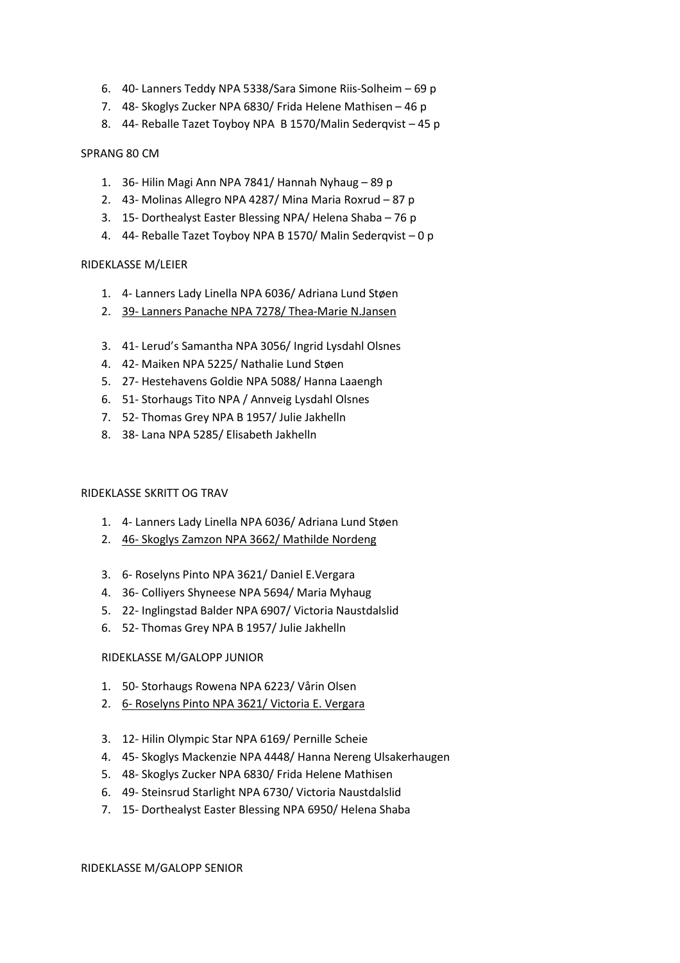- 6. 40- Lanners Teddy NPA 5338/Sara Simone Riis-Solheim 69 p
- 7. 48- Skoglys Zucker NPA 6830/ Frida Helene Mathisen 46 p
- 8. 44- Reballe Tazet Toyboy NPA B 1570/Malin Sederqvist 45 p

### SPRANG 80 CM

- 1. 36- Hilin Magi Ann NPA 7841/ Hannah Nyhaug 89 p
- 2. 43- Molinas Allegro NPA 4287/ Mina Maria Roxrud 87 p
- 3. 15- Dorthealyst Easter Blessing NPA/ Helena Shaba 76 p
- 4. 44- Reballe Tazet Toyboy NPA B 1570/ Malin Sederqvist 0 p

### RIDEKLASSE M/LEIER

- 1. 4- Lanners Lady Linella NPA 6036/ Adriana Lund Støen
- 2. 39- Lanners Panache NPA 7278/ Thea-Marie N.Jansen
- 3. 41- Lerud's Samantha NPA 3056/ Ingrid Lysdahl Olsnes
- 4. 42- Maiken NPA 5225/ Nathalie Lund Støen
- 5. 27- Hestehavens Goldie NPA 5088/ Hanna Laaengh
- 6. 51- Storhaugs Tito NPA / Annveig Lysdahl Olsnes
- 7. 52- Thomas Grey NPA B 1957/ Julie Jakhelln
- 8. 38- Lana NPA 5285/ Elisabeth Jakhelln

### RIDEKLASSE SKRITT OG TRAV

- 1. 4- Lanners Lady Linella NPA 6036/ Adriana Lund Støen
- 2. 46- Skoglys Zamzon NPA 3662/ Mathilde Nordeng
- 3. 6- Roselyns Pinto NPA 3621/ Daniel E.Vergara
- 4. 36- Colliyers Shyneese NPA 5694/ Maria Myhaug
- 5. 22- Inglingstad Balder NPA 6907/ Victoria Naustdalslid
- 6. 52- Thomas Grey NPA B 1957/ Julie Jakhelln

### RIDEKLASSE M/GALOPP JUNIOR

- 1. 50- Storhaugs Rowena NPA 6223/ Vårin Olsen
- 2. 6- Roselyns Pinto NPA 3621/ Victoria E. Vergara
- 3. 12- Hilin Olympic Star NPA 6169/ Pernille Scheie
- 4. 45- Skoglys Mackenzie NPA 4448/ Hanna Nereng Ulsakerhaugen
- 5. 48- Skoglys Zucker NPA 6830/ Frida Helene Mathisen
- 6. 49- Steinsrud Starlight NPA 6730/ Victoria Naustdalslid
- 7. 15- Dorthealyst Easter Blessing NPA 6950/ Helena Shaba

RIDEKLASSE M/GALOPP SENIOR